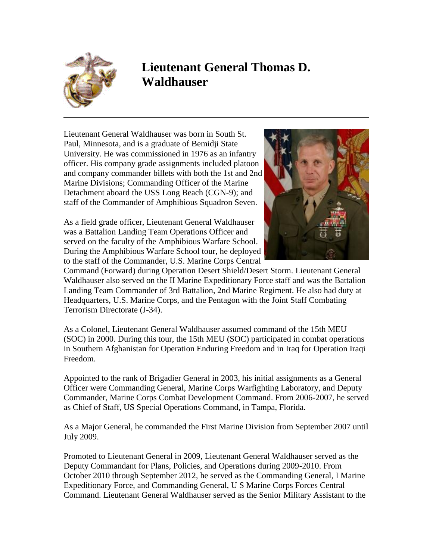

## **Lieutenant General Thomas D. Waldhauser**

Lieutenant General Waldhauser was born in South St. Paul, Minnesota, and is a graduate of Bemidji State University. He was commissioned in 1976 as an infantry officer. His company grade assignments included platoon and company commander billets with both the 1st and 2nd Marine Divisions; Commanding Officer of the Marine Detachment aboard the USS Long Beach (CGN-9); and staff of the Commander of Amphibious Squadron Seven.

As a field grade officer, Lieutenant General Waldhauser was a Battalion Landing Team Operations Officer and served on the faculty of the Amphibious Warfare School. During the Amphibious Warfare School tour, he deployed to the staff of the Commander, U.S. Marine Corps Central



Command (Forward) during Operation Desert Shield/Desert Storm. Lieutenant General Waldhauser also served on the II Marine Expeditionary Force staff and was the Battalion Landing Team Commander of 3rd Battalion, 2nd Marine Regiment. He also had duty at Headquarters, U.S. Marine Corps, and the Pentagon with the Joint Staff Combating Terrorism Directorate (J-34).

As a Colonel, Lieutenant General Waldhauser assumed command of the 15th MEU (SOC) in 2000. During this tour, the 15th MEU (SOC) participated in combat operations in Southern Afghanistan for Operation Enduring Freedom and in Iraq for Operation Iraqi Freedom.

Appointed to the rank of Brigadier General in 2003, his initial assignments as a General Officer were Commanding General, Marine Corps Warfighting Laboratory, and Deputy Commander, Marine Corps Combat Development Command. From 2006-2007, he served as Chief of Staff, US Special Operations Command, in Tampa, Florida.

As a Major General, he commanded the First Marine Division from September 2007 until July 2009.

Promoted to Lieutenant General in 2009, Lieutenant General Waldhauser served as the Deputy Commandant for Plans, Policies, and Operations during 2009-2010. From October 2010 through September 2012, he served as the Commanding General, I Marine Expeditionary Force, and Commanding General, U S Marine Corps Forces Central Command. Lieutenant General Waldhauser served as the Senior Military Assistant to the